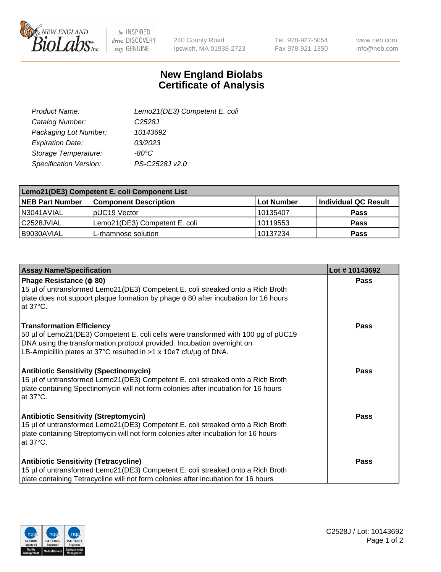

be INSPIRED drive DISCOVERY stay GENUINE

240 County Road Ipswich, MA 01938-2723 Tel 978-927-5054 Fax 978-921-1350 www.neb.com info@neb.com

## **New England Biolabs Certificate of Analysis**

| Lemo21(DE3) Competent E. coli |
|-------------------------------|
| C <sub>2528</sub> J           |
| 10143692                      |
| 03/2023                       |
| $-80^{\circ}$ C               |
| PS-C2528J v2.0                |
|                               |

| Lemo21(DE3) Competent E. coli Component List |                               |                   |                      |  |
|----------------------------------------------|-------------------------------|-------------------|----------------------|--|
| <b>NEB Part Number</b>                       | <b>Component Description</b>  | <b>Lot Number</b> | Individual QC Result |  |
| N3041AVIAL                                   | I pUC19 Vector                | l 10135407        | Pass                 |  |
| l C2528JVIAL                                 | Lemo21(DE3) Competent E. coli | 10119553          | Pass                 |  |
| B9030AVIAL                                   | L-rhamnose solution           | 10137234          | <b>Pass</b>          |  |

| <b>Assay Name/Specification</b>                                                                                                                                                                                                                                        | Lot #10143692 |
|------------------------------------------------------------------------------------------------------------------------------------------------------------------------------------------------------------------------------------------------------------------------|---------------|
| Phage Resistance ( $\phi$ 80)<br>15 µl of untransformed Lemo21(DE3) Competent E. coli streaked onto a Rich Broth<br>plate does not support plaque formation by phage $\phi$ 80 after incubation for 16 hours<br>at 37°C.                                               | <b>Pass</b>   |
| <b>Transformation Efficiency</b><br>50 µl of Lemo21(DE3) Competent E. coli cells were transformed with 100 pg of pUC19<br>DNA using the transformation protocol provided. Incubation overnight on<br>LB-Ampicillin plates at 37°C resulted in >1 x 10e7 cfu/ug of DNA. | <b>Pass</b>   |
| <b>Antibiotic Sensitivity (Spectinomycin)</b><br>15 µl of untransformed Lemo21(DE3) Competent E. coli streaked onto a Rich Broth<br>plate containing Spectinomycin will not form colonies after incubation for 16 hours<br>at 37°C.                                    | <b>Pass</b>   |
| <b>Antibiotic Sensitivity (Streptomycin)</b><br>15 µl of untransformed Lemo21(DE3) Competent E. coli streaked onto a Rich Broth<br>plate containing Streptomycin will not form colonies after incubation for 16 hours<br>at 37°C.                                      | <b>Pass</b>   |
| <b>Antibiotic Sensitivity (Tetracycline)</b><br>15 µl of untransformed Lemo21(DE3) Competent E. coli streaked onto a Rich Broth<br>plate containing Tetracycline will not form colonies after incubation for 16 hours                                                  | Pass          |